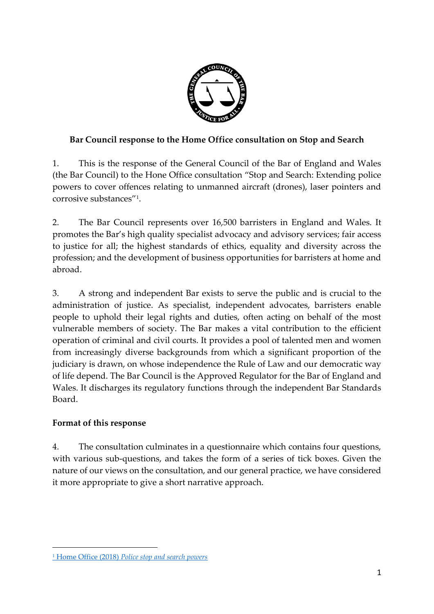

## **Bar Council response to the Home Office consultation on Stop and Search**

1. This is the response of the General Council of the Bar of England and Wales (the Bar Council) to the Hone Office consultation "Stop and Search: Extending police powers to cover offences relating to unmanned aircraft (drones), laser pointers and corrosive substances"<sup>1</sup> .

2. The Bar Council represents over 16,500 barristers in England and Wales. It promotes the Bar's high quality specialist advocacy and advisory services; fair access to justice for all; the highest standards of ethics, equality and diversity across the profession; and the development of business opportunities for barristers at home and abroad.

3. A strong and independent Bar exists to serve the public and is crucial to the administration of justice. As specialist, independent advocates, barristers enable people to uphold their legal rights and duties, often acting on behalf of the most vulnerable members of society. The Bar makes a vital contribution to the efficient operation of criminal and civil courts. It provides a pool of talented men and women from increasingly diverse backgrounds from which a significant proportion of the judiciary is drawn, on whose independence the Rule of Law and our democratic way of life depend. The Bar Council is the Approved Regulator for the Bar of England and Wales. It discharges its regulatory functions through the independent Bar Standards Board.

## **Format of this response**

-

4. The consultation culminates in a questionnaire which contains four questions, with various sub-questions, and takes the form of a series of tick boxes. Given the nature of our views on the consultation, and our general practice, we have considered it more appropriate to give a short narrative approach.

<sup>1</sup> Home Office (2018) *[Police stop and search powers](https://www.gov.uk/government/consultations/police-stop-and-search-powers)*